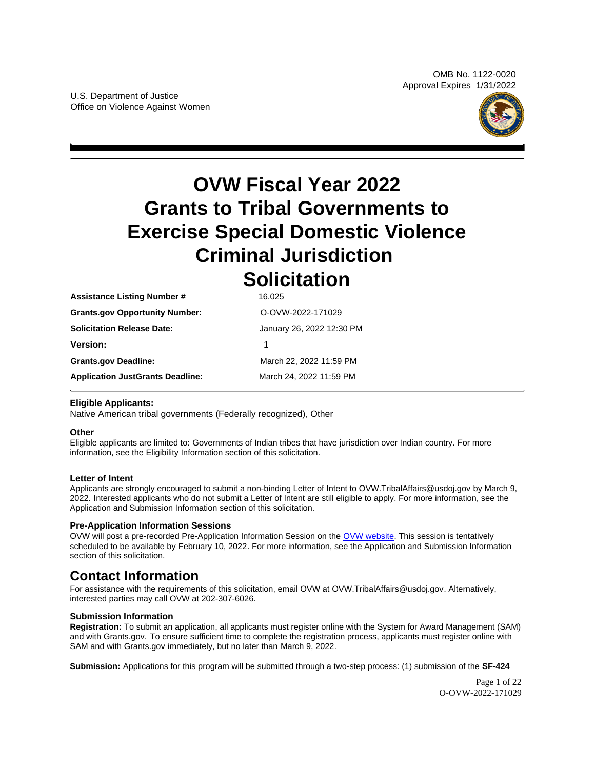OMB No. 1122-0020 Approval Expires 1/31/2022



# <span id="page-0-0"></span>**OVW Fiscal Year 2022 Grants to Tribal Governments to Exercise Special Domestic Violence Criminal Jurisdiction Solicitation**

| <b>Assistance Listing Number #</b>      | 16.025                    |
|-----------------------------------------|---------------------------|
| <b>Grants.gov Opportunity Number:</b>   | O-OVW-2022-171029         |
| <b>Solicitation Release Date:</b>       | January 26, 2022 12:30 PM |
| <b>Version:</b>                         |                           |
| <b>Grants.gov Deadline:</b>             | March 22, 2022 11:59 PM   |
| <b>Application JustGrants Deadline:</b> | March 24, 2022 11:59 PM   |
|                                         |                           |

## **Eligible Applicants:**

Native American tribal governments (Federally recognized), Other

#### **Other**

Eligible applicants are limited to: Governments of Indian tribes that have jurisdiction over Indian country. For more information, see the Eligibility Information section of this solicitation.

#### **Letter of Intent**

Applicants are strongly encouraged to submit a non-binding Letter of Intent to [OVW.TribalAffairs@usdoj.gov](mailto:OVW.TribalAffairs@usdoj.gov) by March 9, 2022. Interested applicants who do not submit a Letter of Intent are still eligible to apply. For more information, see the Application and Submission Information section of this solicitation.

#### **Pre-Application Information Sessions**

OVW will post a pre-recorded Pre-Application Information Session on the [OVW website.](https://www.justice.gov/ovw/resources-applicants#Program Specific) This session is tentatively scheduled to be available by February 10, 2022. For more information, see the Application and Submission Information section of this solicitation.

## **Contact Information**

For assistance with the requirements of this solicitation, email OVW at [OVW.TribalAffairs@usdoj.gov.](mailto:OVW.TribalAffairs@usdoj.gov) Alternatively, interested parties may call OVW at 202-307-6026.

#### **Submission Information**

**Registration:** To submit an application, all applicants must register online with the System for Award Management (SAM) and with [Grants.gov.](https://Grants.gov) To ensure sufficient time to complete the registration process, applicants must register online with SAM and with [Grants.gov](https://Grants.gov) immediately, but no later than March 9, 2022.

**Submission:** Applications for this program will be submitted through a two-step process: (1) submission of the **SF-424** 

Page 1 of 22 O-OVW-2022-171029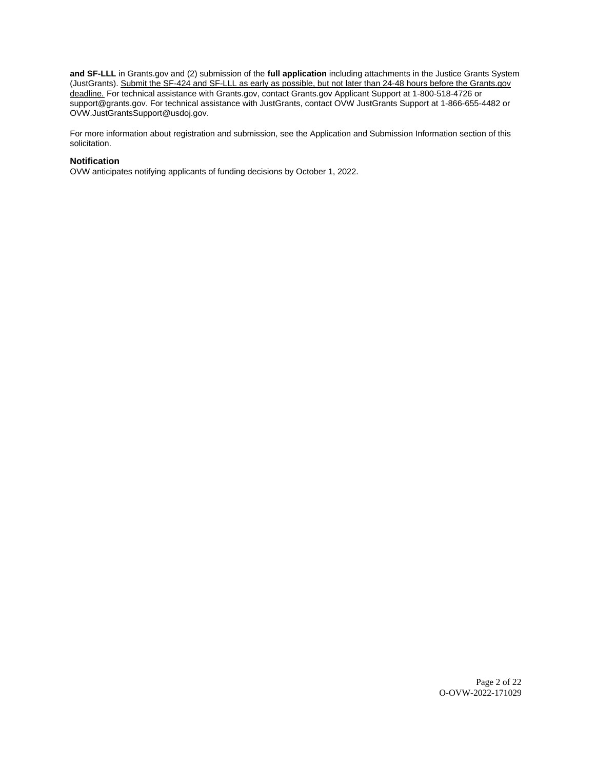**and SF-LLL** in [Grants.gov](https://Grants.gov) and (2) submission of the **full application** including attachments in the Justice Grants System (JustGrants). Submit the SF-424 and SF-LLL as early as possible, but not later than 24-48 hours before the Grants.gov deadline. For technical assistance with [Grants.gov,](https://Grants.gov) contact [Grants.gov](https://Grants.gov) Applicant Support at 1-800-518-4726 or [support@grants.gov.](mailto:support@grants.gov) For technical assistance with JustGrants, contact OVW JustGrants Support at 1-866-655-4482 or [OVW.JustGrantsSupport@usdoj.gov.](mailto:OVW.JustGrantsSupport@usdoj.gov)

For more information about registration and submission, see the Application and Submission Information section of this solicitation.

#### **Notification**

OVW anticipates notifying applicants of funding decisions by October 1, 2022.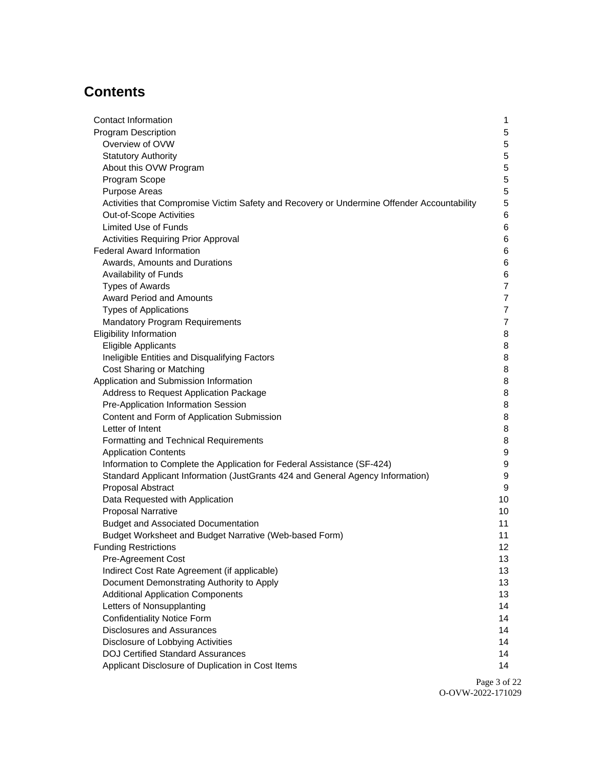## **Contents**

| Contact Information                                                                                 | 1                |
|-----------------------------------------------------------------------------------------------------|------------------|
| <b>Program Description</b>                                                                          | $\mathbf 5$      |
| Overview of OVW                                                                                     | 5                |
| <b>Statutory Authority</b>                                                                          | 5                |
| About this OVW Program                                                                              | 5                |
| Program Scope                                                                                       | 5                |
| Purpose Areas                                                                                       | 5                |
| Activities that Compromise Victim Safety and Recovery or Undermine Offender Accountability          | 5                |
| Out-of-Scope Activities                                                                             | 6                |
| <b>Limited Use of Funds</b>                                                                         | 6                |
| <b>Activities Requiring Prior Approval</b>                                                          | 6                |
| <b>Federal Award Information</b>                                                                    | 6                |
| Awards, Amounts and Durations                                                                       | 6                |
| Availability of Funds                                                                               | 6                |
| <b>Types of Awards</b>                                                                              | $\overline{7}$   |
| <b>Award Period and Amounts</b>                                                                     | $\overline{7}$   |
| <b>Types of Applications</b>                                                                        | $\overline{7}$   |
| <b>Mandatory Program Requirements</b>                                                               | $\overline{7}$   |
| <b>Eligibility Information</b>                                                                      | 8                |
| Eligible Applicants                                                                                 | 8                |
| Ineligible Entities and Disqualifying Factors                                                       | 8                |
| Cost Sharing or Matching                                                                            | 8                |
| Application and Submission Information                                                              | 8                |
| Address to Request Application Package                                                              | 8                |
| Pre-Application Information Session                                                                 | 8                |
| Content and Form of Application Submission                                                          | 8                |
| Letter of Intent                                                                                    | 8                |
| Formatting and Technical Requirements                                                               | 8                |
| <b>Application Contents</b>                                                                         | 9                |
| Information to Complete the Application for Federal Assistance (SF-424)                             | $\boldsymbol{9}$ |
| Standard Applicant Information (JustGrants 424 and General Agency Information)<br>Proposal Abstract | 9<br>9           |
| Data Requested with Application                                                                     | 10               |
| <b>Proposal Narrative</b>                                                                           | 10               |
| <b>Budget and Associated Documentation</b>                                                          | 11               |
| Budget Worksheet and Budget Narrative (Web-based Form)                                              | 11               |
| <b>Funding Restrictions</b>                                                                         | 12               |
| Pre-Agreement Cost                                                                                  | 13               |
| Indirect Cost Rate Agreement (if applicable)                                                        | 13               |
| Document Demonstrating Authority to Apply                                                           | 13               |
| <b>Additional Application Components</b>                                                            | 13               |
| Letters of Nonsupplanting                                                                           | 14               |
| <b>Confidentiality Notice Form</b>                                                                  | 14               |
| <b>Disclosures and Assurances</b>                                                                   | 14               |
| Disclosure of Lobbying Activities                                                                   | 14               |
| <b>DOJ Certified Standard Assurances</b>                                                            | 14               |
| Applicant Disclosure of Duplication in Cost Items                                                   | 14               |

Page 3 of 22 O-OVW-2022-171029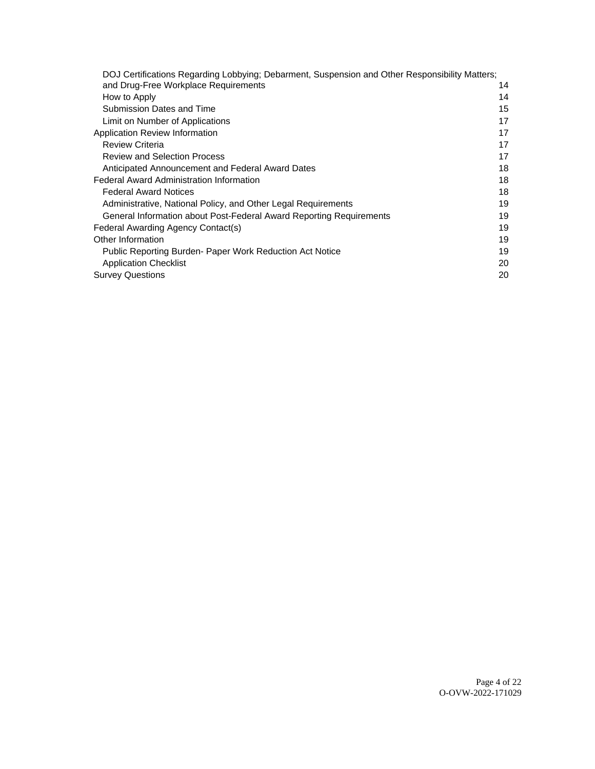| DOJ Certifications Regarding Lobbying; Debarment, Suspension and Other Responsibility Matters; |    |
|------------------------------------------------------------------------------------------------|----|
| and Drug-Free Workplace Requirements                                                           | 14 |
| How to Apply                                                                                   | 14 |
| Submission Dates and Time                                                                      | 15 |
| Limit on Number of Applications                                                                | 17 |
| Application Review Information                                                                 | 17 |
| <b>Review Criteria</b>                                                                         | 17 |
| <b>Review and Selection Process</b>                                                            | 17 |
| Anticipated Announcement and Federal Award Dates                                               | 18 |
| <b>Federal Award Administration Information</b>                                                | 18 |
| <b>Federal Award Notices</b>                                                                   | 18 |
| Administrative, National Policy, and Other Legal Requirements                                  | 19 |
| General Information about Post-Federal Award Reporting Requirements                            | 19 |
| Federal Awarding Agency Contact(s)                                                             | 19 |
| Other Information                                                                              | 19 |
| Public Reporting Burden- Paper Work Reduction Act Notice                                       | 19 |
| <b>Application Checklist</b>                                                                   | 20 |
| <b>Survey Questions</b>                                                                        | 20 |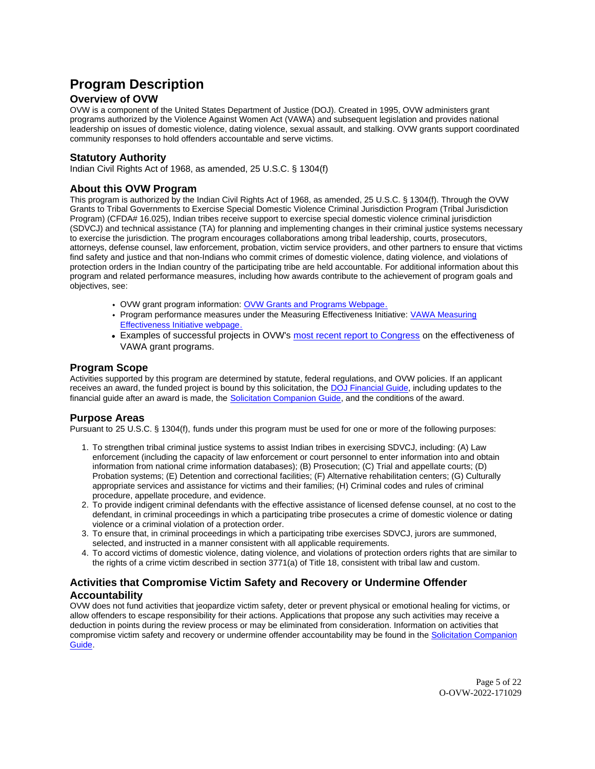## <span id="page-4-0"></span>**Program Description**

## **Overview of OVW**

OVW is a component of the United States Department of Justice (DOJ). Created in 1995, OVW administers grant programs authorized by the Violence Against Women Act (VAWA) and subsequent legislation and provides national leadership on issues of domestic violence, dating violence, sexual assault, and stalking. OVW grants support coordinated community responses to hold offenders accountable and serve victims.

## **Statutory Authority**

Indian Civil Rights Act of 1968, as amended, 25 U.S.C. § 1304(f)

### **About this OVW Program**

This program is authorized by the Indian Civil Rights Act of 1968, as amended, 25 U.S.C. § 1304(f). Through the OVW Grants to Tribal Governments to Exercise Special Domestic Violence Criminal Jurisdiction Program (Tribal Jurisdiction Program) (CFDA# 16.025), Indian tribes receive support to exercise special domestic violence criminal jurisdiction (SDVCJ) and technical assistance (TA) for planning and implementing changes in their criminal justice systems necessary to exercise the jurisdiction. The program encourages collaborations among tribal leadership, courts, prosecutors, attorneys, defense counsel, law enforcement, probation, victim service providers, and other partners to ensure that victims find safety and justice and that non-Indians who commit crimes of domestic violence, dating violence, and violations of protection orders in the Indian country of the participating tribe are held accountable. For additional information about this program and related performance measures, including how awards contribute to the achievement of program goals and objectives, see:

- OVW grant program information: [OVW Grants and Programs Webpage.](https://www.justice.gov/ovw/grant-programs)
- Program performance measures under the Measuring Effectiveness Initiative: [VAWA Measuring](https://www.vawamei.org/grant-programs/)  [Effectiveness Initiative webpage.](https://www.vawamei.org/grant-programs/)
- Examples of successful projects in OVW's [most recent report to Congress](https://www.justice.gov/ovw/reports-congress#s1) on the effectiveness of VAWA grant programs.

### **Program Scope**

Activities supported by this program are determined by statute, federal regulations, and OVW policies. If an applicant receives an award, the funded project is bound by this solicitation, the [DOJ Financial Guide,](https://www.justice.gov/ovw/page/file/1298396/download) including updates to the financial guide after an award is made, the [Solicitation Companion Guide,](https://www.justice.gov/ovw/resources-applicants) and the conditions of the award.

#### **Purpose Areas**

Pursuant to 25 U.S.C. § 1304(f), funds under this program must be used for one or more of the following purposes:

- 1. To strengthen tribal criminal justice systems to assist Indian tribes in exercising SDVCJ, including: (A) Law enforcement (including the capacity of law enforcement or court personnel to enter information into and obtain information from national crime information databases); (B) Prosecution; (C) Trial and appellate courts; (D) Probation systems; (E) Detention and correctional facilities; (F) Alternative rehabilitation centers; (G) Culturally appropriate services and assistance for victims and their families; (H) Criminal codes and rules of criminal procedure, appellate procedure, and evidence.
- 2. To provide indigent criminal defendants with the effective assistance of licensed defense counsel, at no cost to the defendant, in criminal proceedings in which a participating tribe prosecutes a crime of domestic violence or dating violence or a criminal violation of a protection order.
- 3. To ensure that, in criminal proceedings in which a participating tribe exercises SDVCJ, jurors are summoned, selected, and instructed in a manner consistent with all applicable requirements.
- 4. To accord victims of domestic violence, dating violence, and violations of protection orders rights that are similar to the rights of a crime victim described in section 3771(a) of Title 18, consistent with tribal law and custom.

## **Activities that Compromise Victim Safety and Recovery or Undermine Offender Accountability**

OVW does not fund activities that jeopardize victim safety, deter or prevent physical or emotional healing for victims, or allow offenders to escape responsibility for their actions. Applications that propose any such activities may receive a deduction in points during the review process or may be eliminated from consideration. Information on activities that compromise victim safety and recovery or undermine offender accountability may be found in the Solicitation Companion [Guide.](https://www.justice.gov/ovw/resources-applicants)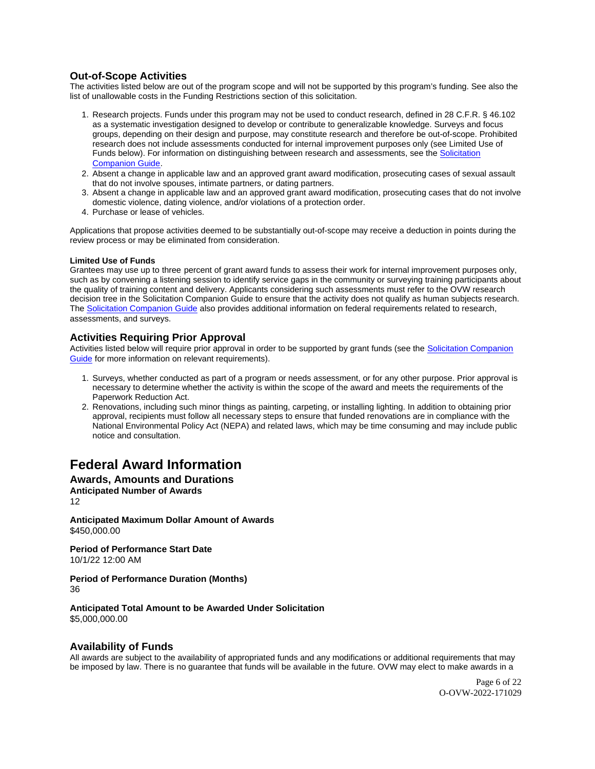## <span id="page-5-0"></span>**Out-of-Scope Activities**

The activities listed below are out of the program scope and will not be supported by this program's funding. See also the list of unallowable costs in the Funding Restrictions section of this solicitation.

- 1. Research projects. Funds under this program may not be used to conduct research, defined in 28 C.F.R. § 46.102 as a systematic investigation designed to develop or contribute to generalizable knowledge. Surveys and focus groups, depending on their design and purpose, may constitute research and therefore be out-of-scope. Prohibited research does not include assessments conducted for internal improvement purposes only (see Limited Use of Funds below). For information on distinguishing between research and assessments, see the [Solicitation](https://www.justice.gov/ovw/resources-applicants)  [Companion Guide.](https://www.justice.gov/ovw/resources-applicants)
- 2. Absent a change in applicable law and an approved grant award modification, prosecuting cases of sexual assault that do not involve spouses, intimate partners, or dating partners.
- 3. Absent a change in applicable law and an approved grant award modification, prosecuting cases that do not involve domestic violence, dating violence, and/or violations of a protection order.
- 4. Purchase or lease of vehicles.

Applications that propose activities deemed to be substantially out-of-scope may receive a deduction in points during the review process or may be eliminated from consideration.

#### **Limited Use of Funds**

Grantees may use up to three percent of grant award funds to assess their work for internal improvement purposes only, such as by convening a listening session to identify service gaps in the community or surveying training participants about the quality of training content and delivery. Applicants considering such assessments must refer to the OVW research decision tree in the Solicitation Companion Guide to ensure that the activity does not qualify as human subjects research. The [Solicitation Companion Guide](https://www.justice.gov/ovw/resources-applicants) also provides additional information on federal requirements related to research, assessments, and surveys.

### **Activities Requiring Prior Approval**

Activities listed below will require prior approval in order to be supported by grant funds (see the [Solicitation Companion](https://www.justice.gov/ovw/resources-applicants)  [Guide](https://www.justice.gov/ovw/resources-applicants) for more information on relevant requirements).

- 1. Surveys, whether conducted as part of a program or needs assessment, or for any other purpose. Prior approval is necessary to determine whether the activity is within the scope of the award and meets the requirements of the Paperwork Reduction Act.
- 2. Renovations, including such minor things as painting, carpeting, or installing lighting. In addition to obtaining prior approval, recipients must follow all necessary steps to ensure that funded renovations are in compliance with the National Environmental Policy Act (NEPA) and related laws, which may be time consuming and may include public notice and consultation.

## **Federal Award Information**

#### **Awards, Amounts and Durations Anticipated Number of Awards**

12

**Anticipated Maximum Dollar Amount of Awards**  [\\$450,000.00](https://450,000.00) 

**Period of Performance Start Date**  10/1/22 12:00 AM

#### **Period of Performance Duration (Months)**  36

**Anticipated Total Amount to be Awarded Under Solicitation**  [\\$5,000,000.00](https://5,000,000.00) 

## **Availability of Funds**

All awards are subject to the availability of appropriated funds and any modifications or additional requirements that may be imposed by law. There is no guarantee that funds will be available in the future. OVW may elect to make awards in a

> Page 6 of 22 O-OVW-2022-171029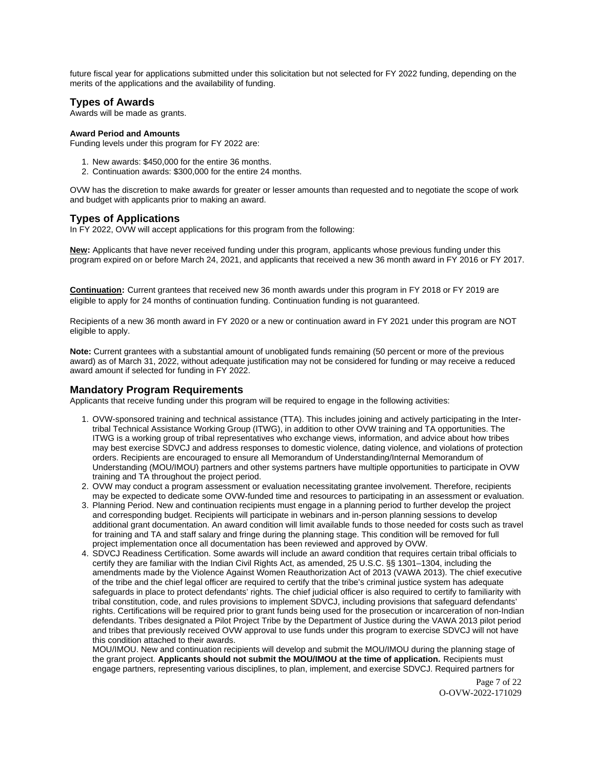<span id="page-6-0"></span>future fiscal year for applications submitted under this solicitation but not selected for FY 2022 funding, depending on the merits of the applications and the availability of funding.

## **Types of Awards**

Awards will be made as grants.

#### **Award Period and Amounts**

Funding levels under this program for FY 2022 are:

- 1. New awards: \$450,000 for the entire 36 months.
- 2. Continuation awards: \$300,000 for the entire 24 months.

OVW has the discretion to make awards for greater or lesser amounts than requested and to negotiate the scope of work and budget with applicants prior to making an award.

## **Types of Applications**

In FY 2022, OVW will accept applications for this program from the following:

**New:** Applicants that have never received funding under this program, applicants whose previous funding under this program expired on or before March 24, 2021, and applicants that received a new 36 month award in FY 2016 or FY 2017.

**Continuation:** Current grantees that received new 36 month awards under this program in FY 2018 or FY 2019 are eligible to apply for 24 months of continuation funding. Continuation funding is not guaranteed.

Recipients of a new 36 month award in FY 2020 or a new or continuation award in FY 2021 under this program are NOT eligible to apply.

**Note:** Current grantees with a substantial amount of unobligated funds remaining (50 percent or more of the previous award) as of March 31, 2022, without adequate justification may not be considered for funding or may receive a reduced award amount if selected for funding in FY 2022.

### **Mandatory Program Requirements**

Applicants that receive funding under this program will be required to engage in the following activities:

- 1. OVW-sponsored training and technical assistance (TTA). This includes joining and actively participating in the Intertribal Technical Assistance Working Group (ITWG), in addition to other OVW training and TA opportunities. The ITWG is a working group of tribal representatives who exchange views, information, and advice about how tribes may best exercise SDVCJ and address responses to domestic violence, dating violence, and violations of protection orders. Recipients are encouraged to ensure all Memorandum of Understanding/Internal Memorandum of Understanding (MOU/IMOU) partners and other systems partners have multiple opportunities to participate in OVW training and TA throughout the project period.
- 2. OVW may conduct a program assessment or evaluation necessitating grantee involvement. Therefore, recipients may be expected to dedicate some OVW-funded time and resources to participating in an assessment or evaluation.
- 3. Planning Period. New and continuation recipients must engage in a planning period to further develop the project and corresponding budget. Recipients will participate in webinars and in-person planning sessions to develop additional grant documentation. An award condition will limit available funds to those needed for costs such as travel for training and TA and staff salary and fringe during the planning stage. This condition will be removed for full project implementation once all documentation has been reviewed and approved by OVW.
- 4. SDVCJ Readiness Certification. Some awards will include an award condition that requires certain tribal officials to certify they are familiar with the Indian Civil Rights Act, as amended, 25 U.S.C. §§ 1301–1304, including the amendments made by the Violence Against Women Reauthorization Act of 2013 (VAWA 2013). The chief executive of the tribe and the chief legal officer are required to certify that the tribe's criminal justice system has adequate safeguards in place to protect defendants' rights. The chief judicial officer is also required to certify to familiarity with tribal constitution, code, and rules provisions to implement SDVCJ, including provisions that safeguard defendants' rights. Certifications will be required prior to grant funds being used for the prosecution or incarceration of non-Indian defendants. Tribes designated a Pilot Project Tribe by the Department of Justice during the VAWA 2013 pilot period and tribes that previously received OVW approval to use funds under this program to exercise SDVCJ will not have this condition attached to their awards.

MOU/IMOU. New and continuation recipients will develop and submit the MOU/IMOU during the planning stage of the grant project. **Applicants should not submit the MOU/IMOU at the time of application.** Recipients must engage partners, representing various disciplines, to plan, implement, and exercise SDVCJ. Required partners for

> Page 7 of 22 O-OVW-2022-171029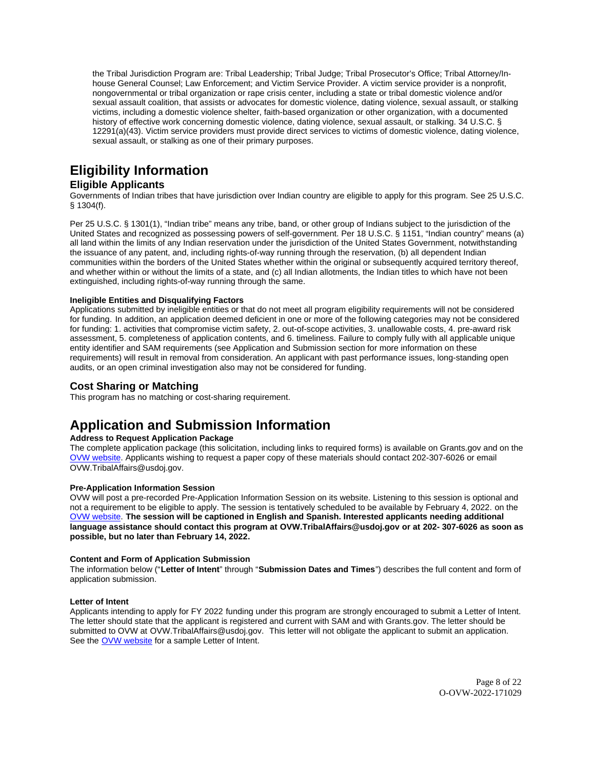<span id="page-7-0"></span>the Tribal Jurisdiction Program are: Tribal Leadership; Tribal Judge; Tribal Prosecutor's Office; Tribal Attorney/Inhouse General Counsel; Law Enforcement; and Victim Service Provider. A victim service provider is a nonprofit, nongovernmental or tribal organization or rape crisis center, including a state or tribal domestic violence and/or sexual assault coalition, that assists or advocates for domestic violence, dating violence, sexual assault, or stalking victims, including a domestic violence shelter, faith-based organization or other organization, with a documented history of effective work concerning domestic violence, dating violence, sexual assault, or stalking. 34 U.S.C. § 12291(a)(43). Victim service providers must provide direct services to victims of domestic violence, dating violence, sexual assault, or stalking as one of their primary purposes.

## **Eligibility Information**

## **Eligible Applicants**

Governments of Indian tribes that have jurisdiction over Indian country are eligible to apply for this program. See 25 U.S.C. § 1304(f).

Per 25 U.S.C. § 1301(1), "Indian tribe" means any tribe, band, or other group of Indians subject to the jurisdiction of the United States and recognized as possessing powers of self-government. Per 18 U.S.C. § 1151, "Indian country" means (a) all land within the limits of any Indian reservation under the jurisdiction of the United States Government, notwithstanding the issuance of any patent, and, including rights-of-way running through the reservation, (b) all dependent Indian communities within the borders of the United States whether within the original or subsequently acquired territory thereof, and whether within or without the limits of a state, and (c) all Indian allotments, the Indian titles to which have not been extinguished, including rights-of-way running through the same.

#### **Ineligible Entities and Disqualifying Factors**

Applications submitted by ineligible entities or that do not meet all program eligibility requirements will not be considered for funding. In addition, an application deemed deficient in one or more of the following categories may not be considered for funding: 1. activities that compromise victim safety, 2. out-of-scope activities, 3. unallowable costs, 4. pre-award risk assessment, 5. completeness of application contents, and 6. timeliness. Failure to comply fully with all applicable unique entity identifier and SAM requirements (see Application and Submission section for more information on these requirements) will result in removal from consideration. An applicant with past performance issues, long-standing open audits, or an open criminal investigation also may not be considered for funding.

### **Cost Sharing or Matching**

This program has no matching or cost-sharing requirement.

## **Application and Submission Information**

#### **Address to Request Application Package**

The complete application package (this solicitation, including links to required forms) is available on [Grants.gov](https://Grants.gov) and on the [OVW website.](https://www.justice.gov/ovw/how-apply) Applicants wishing to request a paper copy of these materials should contact 202-307-6026 or email [OVW.TribalAffairs@usdoj.gov.](mailto:OVW.TribalAffairs@usdoj.gov)

#### **Pre-Application Information Session**

OVW will post a pre-recorded Pre-Application Information Session on its website. Listening to this session is optional and not a requirement to be eligible to apply. The session is tentatively scheduled to be available by February 4, 2022. on the [OVW website.](https://www.justice.gov/ovw/resources-applicants#Program Specific) **The session will be captioned in English and Spanish. Interested applicants needing additional language assistance should contact this program at [OVW.TribalAffairs@usdoj.gov](mailto:OVW.TribalAffairs@usdoj.gov) or at 202- 307-6026 as soon as possible, but no later than February 14, 2022.** 

#### **Content and Form of Application Submission**

The information below ("**Letter of Intent**" through "**Submission Dates and Times**") describes the full content and form of application submission.

#### **Letter of Intent**

Applicants intending to apply for FY 2022 funding under this program are strongly encouraged to submit a Letter of Intent. The letter should state that the applicant is registered and current with SAM and with [Grants.gov](https://Grants.gov). The letter should be submitted to OVW at [OVW.TribalAffairs@usdoj.gov](mailto:OVW.TribalAffairs@usdoj.gov). This letter will not obligate the applicant to submit an application. See the [OVW website](https://www.justice.gov/ovw/resources-applicants) for a sample Letter of Intent.

> Page 8 of 22 O-OVW-2022-171029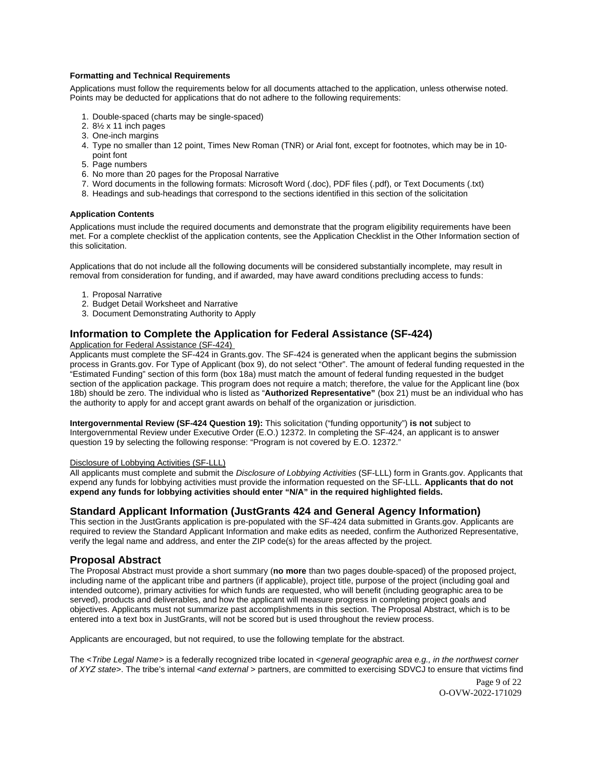#### <span id="page-8-0"></span>**Formatting and Technical Requirements**

Applications must follow the requirements below for all documents attached to the application, unless otherwise noted. Points may be deducted for applications that do not adhere to the following requirements:

- 1. Double-spaced (charts may be single-spaced)
- 2. 8½ x 11 inch pages
- 3. One-inch margins
- 4. Type no smaller than 12 point, Times New Roman (TNR) or Arial font, except for footnotes, which may be in 10 point font
- 5. Page numbers
- 6. No more than 20 pages for the Proposal Narrative
- 7. Word documents in the following formats: Microsoft Word (.doc), PDF files (.pdf), or Text Documents (.txt)
- 8. Headings and sub-headings that correspond to the sections identified in this section of the solicitation

### **Application Contents**

Applications must include the required documents and demonstrate that the program eligibility requirements have been met. For a complete checklist of the application contents, see the Application Checklist in the Other Information section of this solicitation.

Applications that do not include all the following documents will be considered substantially incomplete, may result in removal from consideration for funding, and if awarded, may have award conditions precluding access to funds:

- 1. Proposal Narrative
- 2. Budget Detail Worksheet and Narrative
- 3. Document Demonstrating Authority to Apply

## **Information to Complete the Application for Federal Assistance (SF-424)**

Application for Federal Assistance (SF-424)

Applicants must complete the SF-424 in [Grants.gov](https://Grants.gov). The SF-424 is generated when the applicant begins the submission process in [Grants.gov.](https://Grants.gov) For Type of Applicant (box 9), do not select "Other". The amount of federal funding requested in the "Estimated Funding" section of this form (box 18a) must match the amount of federal funding requested in the budget section of the application package. This program does not require a match; therefore, the value for the Applicant line (box 18b) should be zero. The individual who is listed as "**Authorized Representative"** (box 21) must be an individual who has the authority to apply for and accept grant awards on behalf of the organization or jurisdiction.

**Intergovernmental Review (SF-424 Question 19):** This solicitation ("funding opportunity") **is not** subject to Intergovernmental Review under Executive Order (E.O.) 12372. In completing the SF-424, an applicant is to answer question 19 by selecting the following response: "Program is not covered by E.O. 12372."

#### Disclosure of Lobbying Activities (SF-LLL)

All applicants must complete and submit the Disclosure of Lobbying Activities (SF-LLL) form in [Grants.gov.](https://Grants.gov) Applicants that expend any funds for lobbying activities must provide the information requested on the SF-LLL. **Applicants that do not expend any funds for lobbying activities should enter "N/A" in the required highlighted fields.** 

### **Standard Applicant Information (JustGrants 424 and General Agency Information)**

This section in the JustGrants application is pre-populated with the SF-424 data submitted in [Grants.gov](https://Grants.gov). Applicants are required to review the Standard Applicant Information and make edits as needed, confirm the Authorized Representative, verify the legal name and address, and enter the ZIP code(s) for the areas affected by the project.

## **Proposal Abstract**

The Proposal Abstract must provide a short summary (**no more** than two pages double-spaced) of the proposed project, including name of the applicant tribe and partners (if applicable), project title, purpose of the project (including goal and intended outcome), primary activities for which funds are requested, who will benefit (including geographic area to be served), products and deliverables, and how the applicant will measure progress in completing project goals and objectives. Applicants must not summarize past accomplishments in this section. The Proposal Abstract, which is to be entered into a text box in JustGrants, will not be scored but is used throughout the review process.

Applicants are encouraged, but not required, to use the following template for the abstract.

The <Tribe Legal Name> is a federally recognized tribe located in <general geographic area e.g., in the northwest corner of XYZ state>. The tribe's internal <and external > partners, are committed to exercising SDVCJ to ensure that victims find

> Page 9 of 22 O-OVW-2022-171029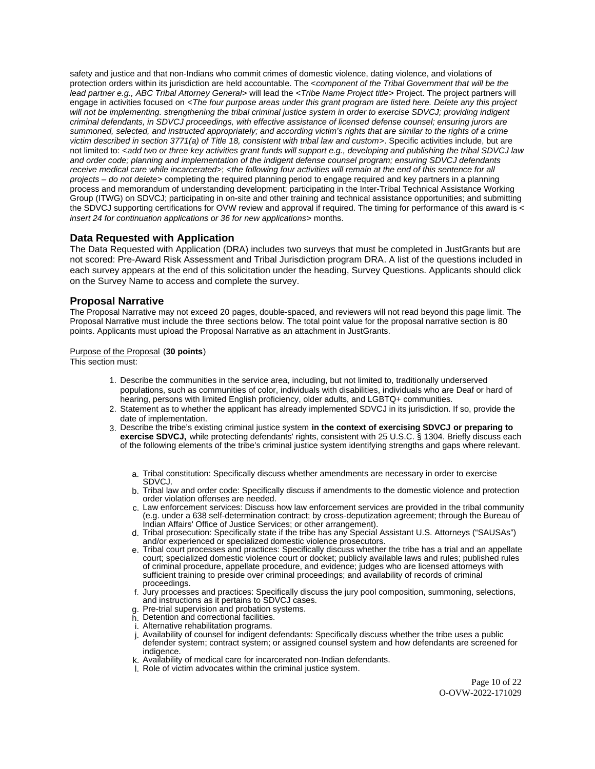<span id="page-9-0"></span>safety and justice and that non-Indians who commit crimes of domestic violence, dating violence, and violations of protection orders within its jurisdiction are held accountable. The <component of the Tribal Government that will be the lead partner e.g., ABC Tribal Attorney General> will lead the <Tribe Name Project title> Project. The project partners will engage in activities focused on <The four purpose areas under this grant program are listed here. Delete any this project will not be implementing. strengthening the tribal criminal justice system in order to exercise SDVCJ; providing indigent criminal defendants, in SDVCJ proceedings, with effective assistance of licensed defense counsel; ensuring jurors are summoned, selected, and instructed appropriately; and according victim's rights that are similar to the rights of a crime victim described in section 3771(a) of Title 18, consistent with tribal law and custom>. Specific activities include, but are not limited to: <add two or three key activities grant funds will support e.g., developing and publishing the tribal SDVCJ law and order code; planning and implementation of the indigent defense counsel program; ensuring SDVCJ defendants receive medical care while incarcerated>; <the following four activities will remain at the end of this sentence for all projects – do not delete> completing the required planning period to engage required and key partners in a planning process and memorandum of understanding development; participating in the Inter-Tribal Technical Assistance Working Group (ITWG) on SDVCJ; participating in on-site and other training and technical assistance opportunities; and submitting the SDVCJ supporting certifications for OVW review and approval if required. The timing for performance of this award is < insert 24 for continuation applications or 36 for new applications> months.

## **Data Requested with Application**

The Data Requested with Application (DRA) includes two surveys that must be completed in JustGrants but are not scored: Pre-Award Risk Assessment and Tribal Jurisdiction program DRA. A list of the questions included in each survey appears at the end of this solicitation under the heading, Survey Questions. Applicants should click on the Survey Name to access and complete the survey.

## **Proposal Narrative**

The Proposal Narrative may not exceed 20 pages, double-spaced, and reviewers will not read beyond this page limit. The Proposal Narrative must include the three sections below. The total point value for the proposal narrative section is 80 points. Applicants must upload the Proposal Narrative as an attachment in JustGrants.

#### Purpose of the Proposal (**30 points**)

This section must:

- 1. Describe the communities in the service area, including, but not limited to, traditionally underserved populations, such as communities of color, individuals with disabilities, individuals who are Deaf or hard of hearing, persons with limited English proficiency, older adults, and LGBTQ+ communities.
- 2. Statement as to whether the applicant has already implemented SDVCJ in its jurisdiction. If so, provide the date of implementation.
- 3. Describe the tribe's existing criminal justice system **in the context of exercising SDVCJ or preparing to exercise SDVCJ,** while protecting defendants' rights, consistent with 25 U.S.C. § 1304. Briefly discuss each of the following elements of the tribe's criminal justice system identifying strengths and gaps where relevant.
	- a. Tribal constitution: Specifically discuss whether amendments are necessary in order to exercise SDVCJ.
	- b. Tribal law and order code: Specifically discuss if amendments to the domestic violence and protection order violation offenses are needed.
	- c. Law enforcement services: Discuss how law enforcement services are provided in the tribal community (e.g. under a 638 self-determination contract; by cross-deputization agreement; through the Bureau of Indian Affairs' Office of Justice Services; or other arrangement).
	- d. Tribal prosecution: Specifically state if the tribe has any Special Assistant U.S. Attorneys ("SAUSAs") and/or experienced or specialized domestic violence prosecutors.
	- e. Tribal court processes and practices: Specifically discuss whether the tribe has a trial and an appellate court; specialized domestic violence court or docket; publicly available laws and rules; published rules of criminal procedure, appellate procedure, and evidence; judges who are licensed attorneys with sufficient training to preside over criminal proceedings; and availability of records of criminal proceedings.
	- f. Jury processes and practices: Specifically discuss the jury pool composition, summoning, selections, and instructions as it pertains to SDVCJ cases.
	- g. Pre-trial supervision and probation systems.
	- h. Detention and correctional facilities.
	- i. Alternative rehabilitation programs.
	- j. Availability of counsel for indigent defendants: Specifically discuss whether the tribe uses a public
	- defender system; contract system; or assigned counsel system and how defendants are screened for indigence.
	- k. Availability of medical care for incarcerated non-Indian defendants.
	- l. Role of victim advocates within the criminal justice system.

Page 10 of 22 O-OVW-2022-171029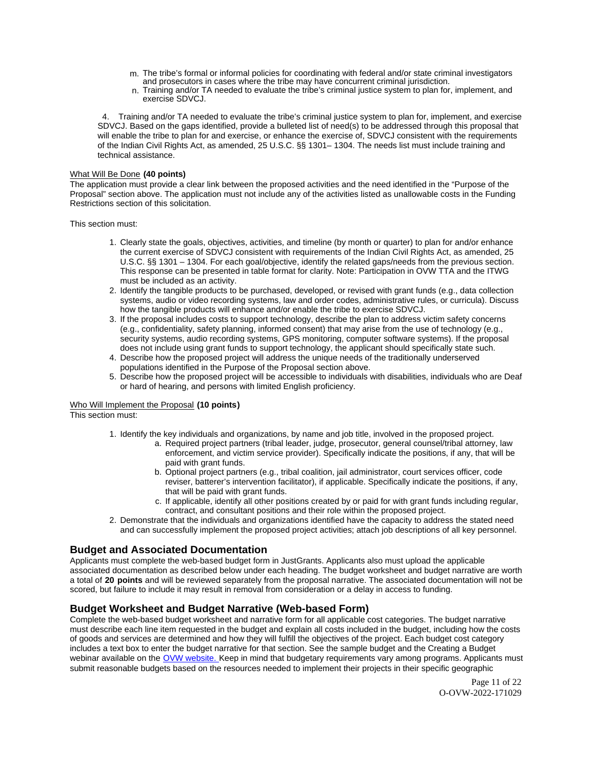- <span id="page-10-0"></span>m. The tribe's formal or informal policies for coordinating with federal and/or state criminal investigators and prosecutors in cases where the tribe may have concurrent criminal jurisdiction.
- n. Training and/or TA needed to evaluate the tribe's criminal justice system to plan for, implement, and exercise SDVCJ.

 4. Training and/or TA needed to evaluate the tribe's criminal justice system to plan for, implement, and exercise SDVCJ. Based on the gaps identified, provide a bulleted list of need(s) to be addressed through this proposal that will enable the tribe to plan for and exercise, or enhance the exercise of, SDVCJ consistent with the requirements of the Indian Civil Rights Act, as amended, 25 U.S.C. §§ 1301– 1304. The needs list must include training and technical assistance.

#### What Will Be Done **(40 points)**

The application must provide a clear link between the proposed activities and the need identified in the "Purpose of the Proposal" section above. The application must not include any of the activities listed as unallowable costs in the Funding Restrictions section of this solicitation.

This section must:

- 1. Clearly state the goals, objectives, activities, and timeline (by month or quarter) to plan for and/or enhance the current exercise of SDVCJ consistent with requirements of the Indian Civil Rights Act, as amended, 25 U.S.C. §§ 1301 – 1304. For each goal/objective, identify the related gaps/needs from the previous section. This response can be presented in table format for clarity. Note: Participation in OVW TTA and the ITWG must be included as an activity.
- 2. Identify the tangible products to be purchased, developed, or revised with grant funds (e.g., data collection systems, audio or video recording systems, law and order codes, administrative rules, or curricula). Discuss how the tangible products will enhance and/or enable the tribe to exercise SDVCJ.
- 3. If the proposal includes costs to support technology, describe the plan to address victim safety concerns (e.g., confidentiality, safety planning, informed consent) that may arise from the use of technology (e.g., security systems, audio recording systems, GPS monitoring, computer software systems). If the proposal does not include using grant funds to support technology, the applicant should specifically state such.
- 4. Describe how the proposed project will address the unique needs of the traditionally underserved populations identified in the Purpose of the Proposal section above.
- 5. Describe how the proposed project will be accessible to individuals with disabilities, individuals who are Deaf or hard of hearing, and persons with limited English proficiency.

#### Who Will Implement the Proposal **(10 points)**

This section must:

- 1. Identify the key individuals and organizations, by name and job title, involved in the proposed project.
	- a. Required project partners (tribal leader, judge, prosecutor, general counsel/tribal attorney, law enforcement, and victim service provider). Specifically indicate the positions, if any, that will be paid with grant funds.
	- b. Optional project partners (e.g., tribal coalition, jail administrator, court services officer, code reviser, batterer's intervention facilitator), if applicable. Specifically indicate the positions, if any, that will be paid with grant funds.
	- c. If applicable, identify all other positions created by or paid for with grant funds including regular, contract, and consultant positions and their role within the proposed project.
- 2. Demonstrate that the individuals and organizations identified have the capacity to address the stated need and can successfully implement the proposed project activities; attach job descriptions of all key personnel.

## **Budget and Associated Documentation**

Applicants must complete the web-based budget form in JustGrants. Applicants also must upload the applicable associated documentation as described below under each heading. The budget worksheet and budget narrative are worth a total of **20 points** and will be reviewed separately from the proposal narrative. The associated documentation will not be scored, but failure to include it may result in removal from consideration or a delay in access to funding.

## **Budget Worksheet and Budget Narrative (Web-based Form)**

Complete the web-based budget worksheet and narrative form for all applicable cost categories. The budget narrative must describe each line item requested in the budget and explain all costs included in the budget, including how the costs of goods and services are determined and how they will fulfill the objectives of the project. Each budget cost category includes a text box to enter the budget narrative for that section. See the sample budget and the Creating a Budget webinar available on the [OVW website.](https://www.justice.gov/ovw/resources-applicants) Keep in mind that budgetary requirements vary among programs. Applicants must submit reasonable budgets based on the resources needed to implement their projects in their specific geographic

> Page 11 of 22 O-OVW-2022-171029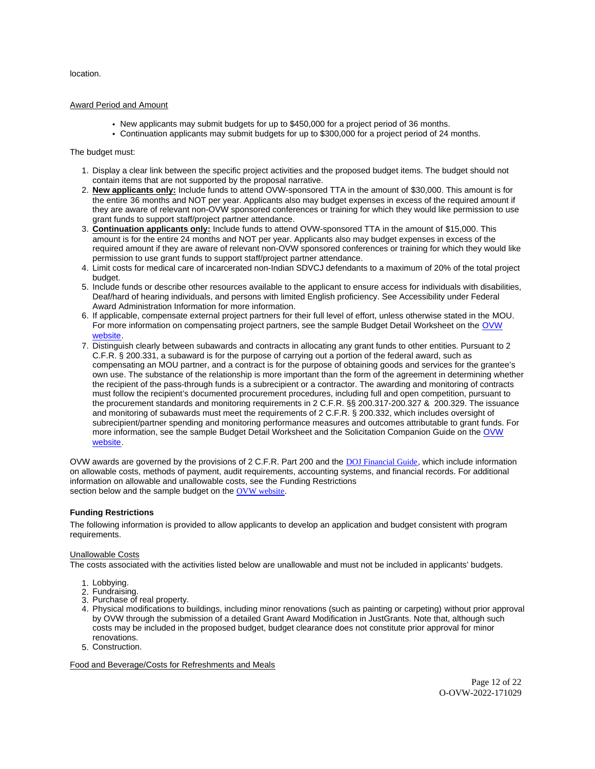<span id="page-11-0"></span>location.

#### Award Period and Amount

- New applicants may submit budgets for up to \$450,000 for a project period of 36 months.
- Continuation applicants may submit budgets for up to \$300,000 for a project period of 24 months.

#### The budget must:

- 1. Display a clear link between the specific project activities and the proposed budget items. The budget should not contain items that are not supported by the proposal narrative.
- 2. **New applicants only:** Include funds to attend OVW-sponsored TTA in the amount of \$30,000. This amount is for the entire 36 months and NOT per year. Applicants also may budget expenses in excess of the required amount if they are aware of relevant non-OVW sponsored conferences or training for which they would like permission to use grant funds to support staff/project partner attendance.
- 3. **Continuation applicants only:** Include funds to attend OVW-sponsored TTA in the amount of \$15,000. This amount is for the entire 24 months and NOT per year. Applicants also may budget expenses in excess of the required amount if they are aware of relevant non-OVW sponsored conferences or training for which they would like permission to use grant funds to support staff/project partner attendance.
- 4. Limit costs for medical care of incarcerated non-Indian SDVCJ defendants to a maximum of 20% of the total project budget.
- 5. Include funds or describe other resources available to the applicant to ensure access for individuals with disabilities, Deaf/hard of hearing individuals, and persons with limited English proficiency. See Accessibility under Federal Award Administration Information for more information.
- 6. If applicable, compensate external project partners for their full level of effort, unless otherwise stated in the MOU. For more information on compensating project partners, see the sample Budget Detail Worksheet on the [OVW](https://www.justice.gov/ovw/resources-applicants)  [website.](https://www.justice.gov/ovw/resources-applicants)
- 7. Distinguish clearly between subawards and contracts in allocating any grant funds to other entities. Pursuant to 2 C.F.R. § 200.331, a subaward is for the purpose of carrying out a portion of the federal award, such as compensating an MOU partner, and a contract is for the purpose of obtaining goods and services for the grantee's own use. The substance of the relationship is more important than the form of the agreement in determining whether the recipient of the pass-through funds is a subrecipient or a contractor. The awarding and monitoring of contracts must follow the recipient's documented procurement procedures, including full and open competition, pursuant to the procurement standards and monitoring requirements in 2 C.F.R. §§ 200.317-200.327 & 200.329. The issuance and monitoring of subawards must meet the requirements of 2 C.F.R. § 200.332, which includes oversight of subrecipient/partner spending and monitoring performance measures and outcomes attributable to grant funds. For more information, see the sample Budget Detail Worksheet and the Solicitation Companion Guide on the [OVW](https://www.justice.gov/ovw/resources-applicants)  [website.](https://www.justice.gov/ovw/resources-applicants)

OVW awards are governed by the provisions of 2 C.F.R. Part 200 and the [DOJ Financial Guide](https://www.justice.gov/ovw/file/1030311/download), which include information on allowable costs, methods of payment, audit requirements, accounting systems, and financial records. For additional information on allowable and unallowable costs, see the Funding Restrictions section below and the sample budget on the [OVW website](https://www.justice.gov/ovw/resources-applicants).

#### **Funding Restrictions**

The following information is provided to allow applicants to develop an application and budget consistent with program requirements.

#### Unallowable Costs

The costs associated with the activities listed below are unallowable and must not be included in applicants' budgets.

- 1. Lobbying.
- 2. Fundraising.
- 3. Purchase of real property.
- 4. Physical modifications to buildings, including minor renovations (such as painting or carpeting) without prior approval by OVW through the submission of a detailed Grant Award Modification in JustGrants. Note that, although such costs may be included in the proposed budget, budget clearance does not constitute prior approval for minor renovations.
- 5. Construction.

Food and Beverage/Costs for Refreshments and Meals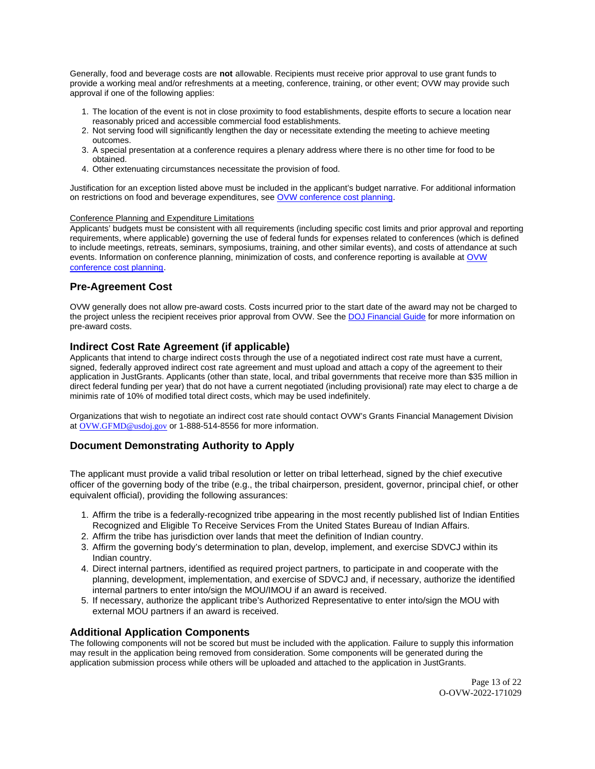<span id="page-12-0"></span>Generally, food and beverage costs are **not** allowable. Recipients must receive prior approval to use grant funds to provide a working meal and/or refreshments at a meeting, conference, training, or other event; OVW may provide such approval if one of the following applies:

- 1. The location of the event is not in close proximity to food establishments, despite efforts to secure a location near reasonably priced and accessible commercial food establishments.
- 2. Not serving food will significantly lengthen the day or necessitate extending the meeting to achieve meeting outcomes.
- 3. A special presentation at a conference requires a plenary address where there is no other time for food to be obtained.
- 4. Other extenuating circumstances necessitate the provision of food.

Justification for an exception listed above must be included in the applicant's budget narrative. For additional information on restrictions on food and beverage expenditures, see [OVW conference cost planning.](https://www.justice.gov/ovw/conference-planning)

#### Conference Planning and Expenditure Limitations

Applicants' budgets must be consistent with all requirements (including specific cost limits and prior approval and reporting requirements, where applicable) governing the use of federal funds for expenses related to conferences (which is defined to include meetings, retreats, seminars, symposiums, training, and other similar events), and costs of attendance at such events. Information on conference planning, minimization of costs, and conference reporting is available at [OVW](https://www.justice.gov/ovw/conference-planning)  [conference cost planning.](https://www.justice.gov/ovw/conference-planning)

## **Pre-Agreement Cost**

OVW generally does not allow pre-award costs. Costs incurred prior to the start date of the award may not be charged to the project unless the recipient receives prior approval from OVW. See the [DOJ Financial Guide](https://www.justice.gov/ovw/file/1030311/download) for more information on pre-award costs.

## **Indirect Cost Rate Agreement (if applicable)**

Applicants that intend to charge indirect costs through the use of a negotiated indirect cost rate must have a current, signed, federally approved indirect cost rate agreement and must upload and attach a copy of the agreement to their application in JustGrants. Applicants (other than state, local, and tribal governments that receive more than \$35 million in direct federal funding per year) that do not have a current negotiated (including provisional) rate may elect to charge a de minimis rate of 10% of modified total direct costs, which may be used indefinitely.

Organizations that wish to negotiate an indirect cost rate should contact OVW's Grants Financial Management Division at [OVW.GFMD@usdoj.gov](mailto:OVW.GFMD@usdoj.gov) or 1-888-514-8556 for more information.

## **Document Demonstrating Authority to Apply**

The applicant must provide a valid tribal resolution or letter on tribal letterhead, signed by the chief executive officer of the governing body of the tribe (e.g., the tribal chairperson, president, governor, principal chief, or other equivalent official), providing the following assurances:

- 1. Affirm the tribe is a federally-recognized tribe appearing in the most recently published list of Indian Entities Recognized and Eligible To Receive Services From the United States Bureau of Indian Affairs.
- 2. Affirm the tribe has jurisdiction over lands that meet the definition of Indian country.
- 3. Affirm the governing body's determination to plan, develop, implement, and exercise SDVCJ within its Indian country.
- 4. Direct internal partners, identified as required project partners, to participate in and cooperate with the planning, development, implementation, and exercise of SDVCJ and, if necessary, authorize the identified internal partners to enter into/sign the MOU/IMOU if an award is received.
- 5. If necessary, authorize the applicant tribe's Authorized Representative to enter into/sign the MOU with external MOU partners if an award is received.

## **Additional Application Components**

The following components will not be scored but must be included with the application. Failure to supply this information may result in the application being removed from consideration. Some components will be generated during the application submission process while others will be uploaded and attached to the application in JustGrants.

> Page 13 of 22 O-OVW-2022-171029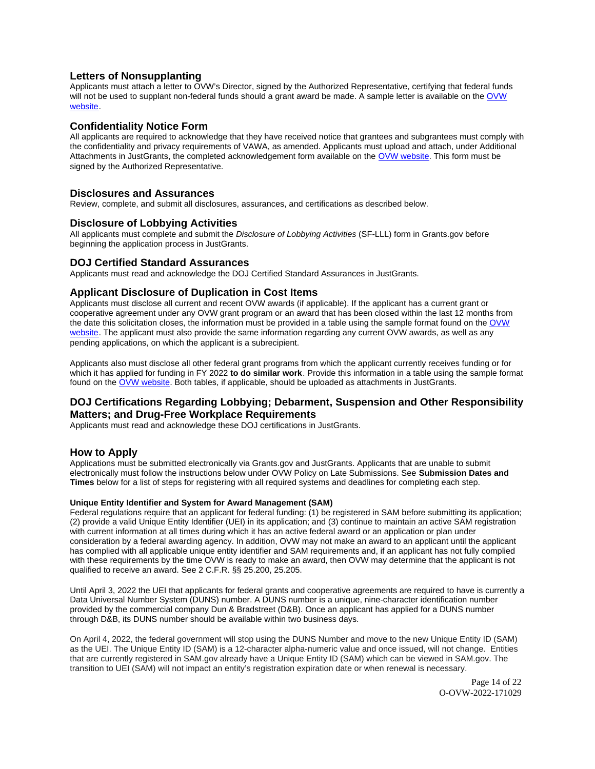## <span id="page-13-0"></span>**Letters of Nonsupplanting**

Applicants must attach a letter to OVW's Director, signed by the Authorized Representative, certifying that federal funds will not be used to supplant non-federal funds should a grant award be made. A sample letter is available on the OVW [website.](https://www.justice.gov/ovw/resources-applicants)

### **Confidentiality Notice Form**

All applicants are required to acknowledge that they have received notice that grantees and subgrantees must comply with the confidentiality and privacy requirements of VAWA, as amended. Applicants must upload and attach, under Additional Attachments in JustGrants, the completed acknowledgement form available on the [OVW website.](http://www.justice.gov/sites/default/files/ovw/pages/attachments/2015/01/20/confidentiality_acknowledgement_form_42015.pdf) This form must be signed by the Authorized Representative.

#### **Disclosures and Assurances**

Review, complete, and submit all disclosures, assurances, and certifications as described below.

#### **Disclosure of Lobbying Activities**

All applicants must complete and submit the Disclosure of Lobbying Activities (SF-LLL) form in [Grants.gov](https://Grants.gov) before beginning the application process in JustGrants.

## **DOJ Certified Standard Assurances**

Applicants must read and acknowledge the DOJ Certified Standard Assurances in JustGrants.

## **Applicant Disclosure of Duplication in Cost Items**

Applicants must disclose all current and recent OVW awards (if applicable). If the applicant has a current grant or cooperative agreement under any OVW grant program or an award that has been closed within the last 12 months from the date this solicitation closes, the information must be provided in a table using the sample format found on the [OVW](https://www.justice.gov/ovw/resources-applicants)  [website.](https://www.justice.gov/ovw/resources-applicants) The applicant must also provide the same information regarding any current OVW awards, as well as any pending applications, on which the applicant is a subrecipient.

Applicants also must disclose all other federal grant programs from which the applicant currently receives funding or for which it has applied for funding in FY 2022 **to do similar work**. Provide this information in a table using the sample format found on the [OVW website.](https://www.justice.gov/ovw/resources-applicants) Both tables, if applicable, should be uploaded as attachments in JustGrants.

## **DOJ Certifications Regarding Lobbying; Debarment, Suspension and Other Responsibility Matters; and Drug-Free Workplace Requirements**

Applicants must read and acknowledge these DOJ certifications in JustGrants.

## **How to Apply**

Applications must be submitted electronically via [Grants.gov](https://Grants.gov) and JustGrants. Applicants that are unable to submit electronically must follow the instructions below under OVW Policy on Late Submissions. See **Submission Dates and Times** below for a list of steps for registering with all required systems and deadlines for completing each step.

#### **Unique Entity Identifier and System for Award Management (SAM)**

Federal regulations require that an applicant for federal funding: (1) be registered in SAM before submitting its application; (2) provide a valid Unique Entity Identifier (UEI) in its application; and (3) continue to maintain an active SAM registration with current information at all times during which it has an active federal award or an application or plan under consideration by a federal awarding agency. In addition, OVW may not make an award to an applicant until the applicant has complied with all applicable unique entity identifier and SAM requirements and, if an applicant has not fully complied with these requirements by the time OVW is ready to make an award, then OVW may determine that the applicant is not qualified to receive an award. See 2 C.F.R. §§ 25.200, 25.205.

Until April 3, 2022 the UEI that applicants for federal grants and cooperative agreements are required to have is currently a Data Universal Number System (DUNS) number. A DUNS number is a unique, nine-character identification number provided by the commercial company Dun & Bradstreet (D&B). Once an applicant has applied for a DUNS number through D&B, its DUNS number should be available within two business days.

On April 4, 2022, the federal government will stop using the DUNS Number and move to the new Unique Entity ID (SAM) as the UEI. The Unique Entity ID (SAM) is a 12-character alpha-numeric value and once issued, will not change. Entities that are currently registered in SAM.gov already have a Unique Entity ID (SAM) which can be viewed in SAM.gov. The transition to UEI (SAM) will not impact an entity's registration expiration date or when renewal is necessary.

> Page 14 of 22 O-OVW-2022-171029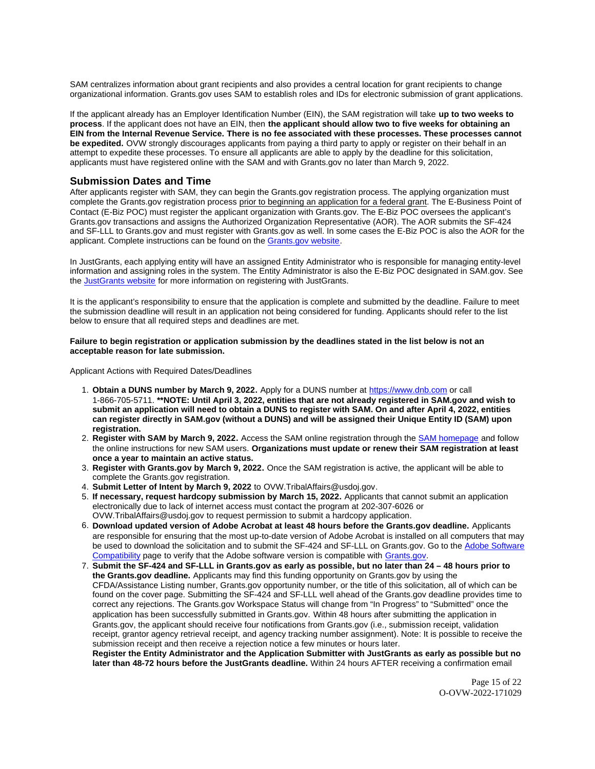<span id="page-14-0"></span>SAM centralizes information about grant recipients and also provides a central location for grant recipients to change organizational information. [Grants.gov](https://Grants.gov) uses SAM to establish roles and IDs for electronic submission of grant applications.

If the applicant already has an Employer Identification Number (EIN), the SAM registration will take **up to two weeks to process**. If the applicant does not have an EIN, then **the applicant should allow two to five weeks for obtaining an EIN from the Internal Revenue Service. There is no fee associated with these processes. These processes cannot be expedited.** OVW strongly discourages applicants from paying a third party to apply or register on their behalf in an attempt to expedite these processes. To ensure all applicants are able to apply by the deadline for this solicitation, applicants must have registered online with the SAM and with [Grants.gov](https://Grants.gov) no later than March 9, 2022.

### **Submission Dates and Time**

After applicants register with SAM, they can begin the [Grants.gov](https://Grants.gov) registration process. The applying organization must complete the [Grants.gov](https://Grants.gov) registration process prior to beginning an application for a federal grant. The E-Business Point of Contact (E-Biz POC) must register the applicant organization with [Grants.gov](https://Grants.gov). The E-Biz POC oversees the applicant's [Grants.gov](https://Grants.gov) transactions and assigns the Authorized Organization Representative (AOR). The AOR submits the SF-424 and SF-LLL to [Grants.gov](https://Grants.gov) and must register with [Grants.gov](https://Grants.gov) as well. In some cases the E-Biz POC is also the AOR for the applicant. Complete instructions can be found on the [Grants.gov website.](https://www.grants.gov/web/grants/applicants/registration.html)

In JustGrants, each applying entity will have an assigned Entity Administrator who is responsible for managing entity-level information and assigning roles in the system. The Entity Administrator is also the E-Biz POC designated in SAM.gov. See the [JustGrants website](https://justicegrants.usdoj.gov/) for more information on registering with JustGrants.

It is the applicant's responsibility to ensure that the application is complete and submitted by the deadline. Failure to meet the submission deadline will result in an application not being considered for funding. Applicants should refer to the list below to ensure that all required steps and deadlines are met.

#### **Failure to begin registration or application submission by the deadlines stated in the list below is not an acceptable reason for late submission.**

Applicant Actions with Required Dates/Deadlines

- 1. **Obtain a DUNS number by March 9, 2022.** Apply for a DUNS number at <https://www.dnb.com>or call 1-866-705-5711. **\*\*NOTE: Until April 3, 2022, entities that are not already registered in SAM.gov and wish to submit an application will need to obtain a DUNS to register with SAM. On and after April 4, 2022, entities can register directly in SAM.gov (without a DUNS) and will be assigned their Unique Entity ID (SAM) upon registration.**
- 2. **Register with SAM by March 9, 2022.** Access the SAM online registration through the [SAM homepage](https://sam.gov/SAM/) and follow the online instructions for new SAM users. **Organizations must update or renew their SAM registration at least once a year to maintain an active status.**
- 3. **Register with [Grants.gov](https://Grants.gov) by March 9, 2022.** Once the SAM registration is active, the applicant will be able to complete the [Grants.gov](https://Grants.gov) registration.
- Submit Letter of Intent by March 9, 2022 to OVW. TribalAffairs@usdoj.gov.
- 5. **If necessary, request hardcopy submission by March 15, 2022.** Applicants that cannot submit an application electronically due to lack of internet access must contact the program at 202-307-6026 or [OVW.TribalAffairs@usdoj.gov](mailto:OVW.TribalAffairs@usdoj.gov) to request permission to submit a hardcopy application.
- 6. **Download updated version of Adobe Acrobat at least 48 hours before the [Grants.gov](https://Grants.gov) deadline.** Applicants are responsible for ensuring that the most up-to-date version of Adobe Acrobat is installed on all computers that may be used to download the solicitation and to submit the SF-424 and SF-LLL on [Grants.gov](https://Grants.gov). Go to the [Adobe Software](https://www.grants.gov/web/grants/applicants/adobe-software-compatibility.html)  [Compatibility](https://www.grants.gov/web/grants/applicants/adobe-software-compatibility.html) page to verify that the Adobe software version is compatible with [Grants.gov.](http://www.grants.gov)
- 7. **Submit the SF-424 and SF-LLL in [Grants.gov](https://Grants.gov) as early as possible, but no later than 24 48 hours prior to the [Grants.gov](https://Grants.gov) deadline.** Applicants may find this funding opportunity on [Grants.gov](https://Grants.gov) by using the CFDA/Assistance Listing number, [Grants.gov](https://Grants.gov) opportunity number, or the title of this solicitation, all of which can be found on the cover page. Submitting the SF-424 and SF-LLL well ahead of the [Grants.gov](https://Grants.gov) deadline provides time to correct any rejections. The [Grants.gov](https://Grants.gov) Workspace Status will change from "In Progress" to "Submitted" once the application has been successfully submitted in [Grants.gov.](https://Grants.gov) Within 48 hours after submitting the application in [Grants.gov,](https://Grants.gov) the applicant should receive four notifications from [Grants.gov](https://Grants.gov) (i.e., submission receipt, validation receipt, grantor agency retrieval receipt, and agency tracking number assignment). Note: It is possible to receive the submission receipt and then receive a rejection notice a few minutes or hours later.

**Register the Entity Administrator and the Application Submitter with JustGrants as early as possible but no later than 48-72 hours before the JustGrants deadline.** Within 24 hours AFTER receiving a confirmation email

> Page 15 of 22 O-OVW-2022-171029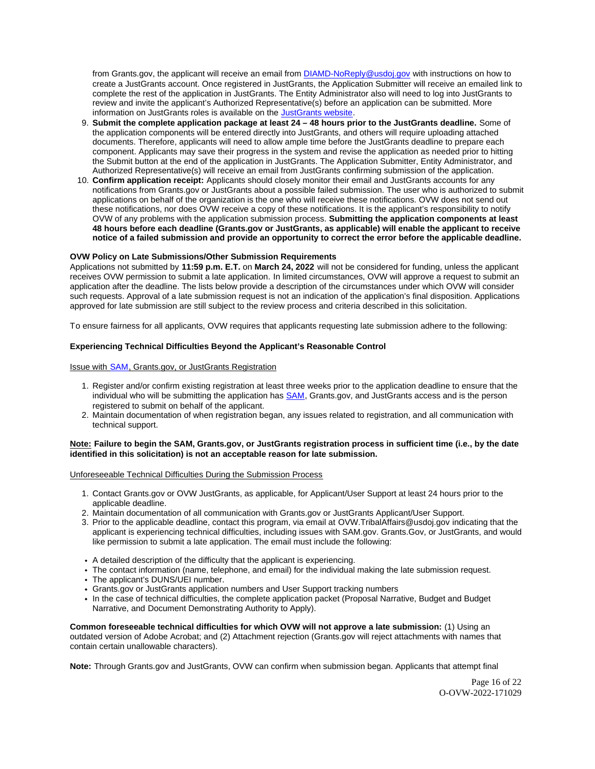from [Grants.gov](https://Grants.gov), the applicant will receive an email from [DIAMD-NoReply@usdoj.gov](mailto:DIAMD-NoReply@usdoj.gov) with instructions on how to create a JustGrants account. Once registered in JustGrants, the Application Submitter will receive an emailed link to complete the rest of the application in JustGrants. The Entity Administrator also will need to log into JustGrants to review and invite the applicant's Authorized Representative(s) before an application can be submitted. More information on JustGrants roles is available on the [JustGrants website.](https://justicegrants.usdoj.gov/getting-started#secureOnboarding)

- 9. **Submit the complete application package at least 24 48 hours prior to the JustGrants deadline.** Some of the application components will be entered directly into JustGrants, and others will require uploading attached documents. Therefore, applicants will need to allow ample time before the JustGrants deadline to prepare each component. Applicants may save their progress in the system and revise the application as needed prior to hitting the Submit button at the end of the application in JustGrants. The Application Submitter, Entity Administrator, and Authorized Representative(s) will receive an email from JustGrants confirming submission of the application.
- 10. **Confirm application receipt:** Applicants should closely monitor their email and JustGrants accounts for any notifications from [Grants.gov](https://Grants.gov) or JustGrants about a possible failed submission. The user who is authorized to submit applications on behalf of the organization is the one who will receive these notifications. OVW does not send out these notifications, nor does OVW receive a copy of these notifications. It is the applicant's responsibility to notify OVW of any problems with the application submission process. **Submitting the application components at least 48 hours before each deadline ([Grants.gov](https://Grants.gov) or JustGrants, as applicable) will enable the applicant to receive notice of a failed submission and provide an opportunity to correct the error before the applicable deadline.**

#### **OVW Policy on Late Submissions/Other Submission Requirements**

Applications not submitted by **11:59 p.m. E.T.** on **March 24, 2022** will not be considered for funding, unless the applicant receives OVW permission to submit a late application. In limited circumstances, OVW will approve a request to submit an application after the deadline. The lists below provide a description of the circumstances under which OVW will consider such requests. Approval of a late submission request is not an indication of the application's final disposition. Applications approved for late submission are still subject to the review process and criteria described in this solicitation.

To ensure fairness for all applicants, OVW requires that applicants requesting late submission adhere to the following:

#### **Experiencing Technical Difficulties Beyond the Applicant's Reasonable Control**

#### Issue with SAM, [Grants.gov,](https://Grants.gov) or JustGrants Registration

- 1. Register and/or confirm existing registration at least three weeks prior to the application deadline to ensure that the individual who will be submitting the application has [SAM,](https://www.sam.gov/portal/SAM/#1) [Grants.gov,](https://Grants.gov) and JustGrants access and is the person registered to submit on behalf of the applicant.
- 2. Maintain documentation of when registration began, any issues related to registration, and all communication with technical support.

#### **Note: Failure to begin the SAM, [Grants.gov,](https://Grants.gov) or JustGrants registration process in sufficient time (i.e., by the date identified in this solicitation) is not an acceptable reason for late submission.**

#### Unforeseeable Technical Difficulties During the Submission Process

- 1. Contact [Grants.gov](https://Grants.gov) or OVW JustGrants, as applicable, for Applicant/User Support at least 24 hours prior to the applicable deadline.
- 2. Maintain documentation of all communication with [Grants.gov](https://Grants.gov) or JustGrants Applicant/User Support.
- 3. Prior to the applicable deadline, contact this program, via email at [OVW.TribalAffairs@usdoj.gov](mailto:OVW.TribalAffairs@usdoj.gov) indicating that the applicant is experiencing technical difficulties, including issues with SAM.gov. [Grants.Gov](https://Grants.Gov), or JustGrants, and would like permission to submit a late application. The email must include the following:
- A detailed description of the difficulty that the applicant is experiencing.
- The contact information (name, telephone, and email) for the individual making the late submission request.
- The applicant's DUNS/UEI number.
- [Grants.gov](https://Grants.gov) or JustGrants application numbers and User Support tracking numbers
- In the case of technical difficulties, the complete application packet (Proposal Narrative, Budget and Budget Narrative, and Document Demonstrating Authority to Apply).

**Common foreseeable technical difficulties for which OVW will not approve a late submission:** (1) Using an outdated version of Adobe Acrobat; and (2) Attachment rejection [\(Grants.gov](https://Grants.gov) will reject attachments with names that contain certain unallowable characters).

**Note:** Through [Grants.gov](https://Grants.gov) and JustGrants, OVW can confirm when submission began. Applicants that attempt final

Page 16 of 22 O-OVW-2022-171029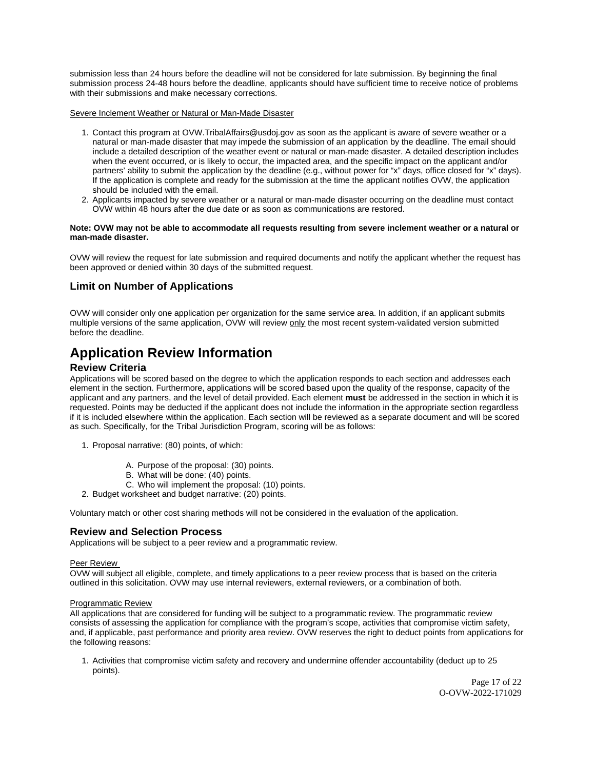<span id="page-16-0"></span>submission less than 24 hours before the deadline will not be considered for late submission. By beginning the final submission process 24-48 hours before the deadline, applicants should have sufficient time to receive notice of problems with their submissions and make necessary corrections.

Severe Inclement Weather or Natural or Man-Made Disaster

- 1. Contact this program at [OVW.TribalAffairs@usdoj.gov](mailto:OVW.TribalAffairs@usdoj.gov) as soon as the applicant is aware of severe weather or a natural or man-made disaster that may impede the submission of an application by the deadline. The email should include a detailed description of the weather event or natural or man-made disaster. A detailed description includes when the event occurred, or is likely to occur, the impacted area, and the specific impact on the applicant and/or partners' ability to submit the application by the deadline (e.g., without power for "x" days, office closed for "x" days). If the application is complete and ready for the submission at the time the applicant notifies OVW, the application should be included with the email.
- 2. Applicants impacted by severe weather or a natural or man-made disaster occurring on the deadline must contact OVW within 48 hours after the due date or as soon as communications are restored.

#### **Note: OVW may not be able to accommodate all requests resulting from severe inclement weather or a natural or man-made disaster.**

OVW will review the request for late submission and required documents and notify the applicant whether the request has been approved or denied within 30 days of the submitted request.

## **Limit on Number of Applications**

OVW will consider only one application per organization for the same service area. In addition, if an applicant submits multiple versions of the same application, OVW will review only the most recent system-validated version submitted before the deadline.

## **Application Review Information**

### **Review Criteria**

Applications will be scored based on the degree to which the application responds to each section and addresses each element in the section. Furthermore, applications will be scored based upon the quality of the response, capacity of the applicant and any partners, and the level of detail provided. Each element **must** be addressed in the section in which it is requested. Points may be deducted if the applicant does not include the information in the appropriate section regardless if it is included elsewhere within the application. Each section will be reviewed as a separate document and will be scored as such. Specifically, for the Tribal Jurisdiction Program, scoring will be as follows:

- 1. Proposal narrative: (80) points, of which:
	- A. Purpose of the proposal: (30) points.
	- B. What will be done: (40) points.
	- C. Who will implement the proposal: (10) points.
- 2. Budget worksheet and budget narrative: (20) points.

Voluntary match or other cost sharing methods will not be considered in the evaluation of the application.

## **Review and Selection Process**

Applications will be subject to a peer review and a programmatic review.

#### Peer Review

OVW will subject all eligible, complete, and timely applications to a peer review process that is based on the criteria outlined in this solicitation. OVW may use internal reviewers, external reviewers, or a combination of both.

#### Programmatic Review

All applications that are considered for funding will be subject to a programmatic review. The programmatic review consists of assessing the application for compliance with the program's scope, activities that compromise victim safety, and, if applicable, past performance and priority area review. OVW reserves the right to deduct points from applications for the following reasons:

1. Activities that compromise victim safety and recovery and undermine offender accountability (deduct up to 25 points).

> Page 17 of 22 O-OVW-2022-171029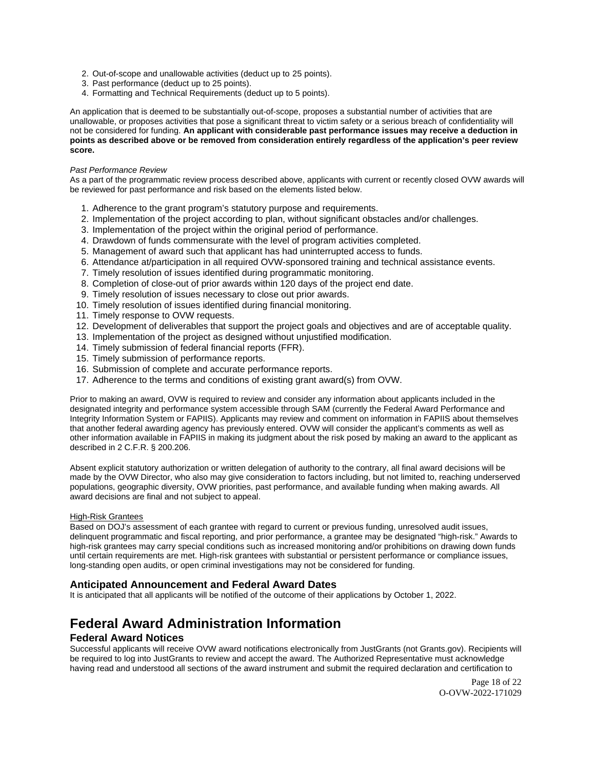- <span id="page-17-0"></span>2. Out-of-scope and unallowable activities (deduct up to 25 points).
- 3. Past performance (deduct up to 25 points).
- 4. Formatting and Technical Requirements (deduct up to 5 points).

An application that is deemed to be substantially out-of-scope, proposes a substantial number of activities that are unallowable, or proposes activities that pose a significant threat to victim safety or a serious breach of confidentiality will not be considered for funding. **An applicant with considerable past performance issues may receive a deduction in points as described above or be removed from consideration entirely regardless of the application's peer review score.** 

#### Past Performance Review

As a part of the programmatic review process described above, applicants with current or recently closed OVW awards will be reviewed for past performance and risk based on the elements listed below.

- 1. Adherence to the grant program's statutory purpose and requirements.
- 2. Implementation of the project according to plan, without significant obstacles and/or challenges.
- 3. Implementation of the project within the original period of performance.
- 4. Drawdown of funds commensurate with the level of program activities completed.
- 5. Management of award such that applicant has had uninterrupted access to funds.
- 6. Attendance at/participation in all required OVW-sponsored training and technical assistance events.
- 7. Timely resolution of issues identified during programmatic monitoring.
- 8. Completion of close-out of prior awards within 120 days of the project end date.
- 9. Timely resolution of issues necessary to close out prior awards.
- 10. Timely resolution of issues identified during financial monitoring.
- 11. Timely response to OVW requests.
- 12. Development of deliverables that support the project goals and objectives and are of acceptable quality.
- 13. Implementation of the project as designed without unjustified modification.
- 14. Timely submission of federal financial reports (FFR).
- 15. Timely submission of performance reports.
- 16. Submission of complete and accurate performance reports.
- 17. Adherence to the terms and conditions of existing grant award(s) from OVW.

Prior to making an award, OVW is required to review and consider any information about applicants included in the designated integrity and performance system accessible through SAM (currently the Federal Award Performance and Integrity Information System or FAPIIS). Applicants may review and comment on information in FAPIIS about themselves that another federal awarding agency has previously entered. OVW will consider the applicant's comments as well as other information available in FAPIIS in making its judgment about the risk posed by making an award to the applicant as described in 2 C.F.R. § 200.206.

Absent explicit statutory authorization or written delegation of authority to the contrary, all final award decisions will be made by the OVW Director, who also may give consideration to factors including, but not limited to, reaching underserved populations, geographic diversity, OVW priorities, past performance, and available funding when making awards. All award decisions are final and not subject to appeal.

#### High-Risk Grantees

Based on DOJ's assessment of each grantee with regard to current or previous funding, unresolved audit issues, delinquent programmatic and fiscal reporting, and prior performance, a grantee may be designated "high-risk." Awards to high-risk grantees may carry special conditions such as increased monitoring and/or prohibitions on drawing down funds until certain requirements are met. High-risk grantees with substantial or persistent performance or compliance issues, long-standing open audits, or open criminal investigations may not be considered for funding.

## **Anticipated Announcement and Federal Award Dates**

It is anticipated that all applicants will be notified of the outcome of their applications by October 1, 2022.

## **Federal Award Administration Information**

#### **Federal Award Notices**

Successful applicants will receive OVW award notifications electronically from JustGrants (not [Grants.gov](https://Grants.gov)). Recipients will be required to log into JustGrants to review and accept the award. The Authorized Representative must acknowledge having read and understood all sections of the award instrument and submit the required declaration and certification to

> Page 18 of 22 O-OVW-2022-171029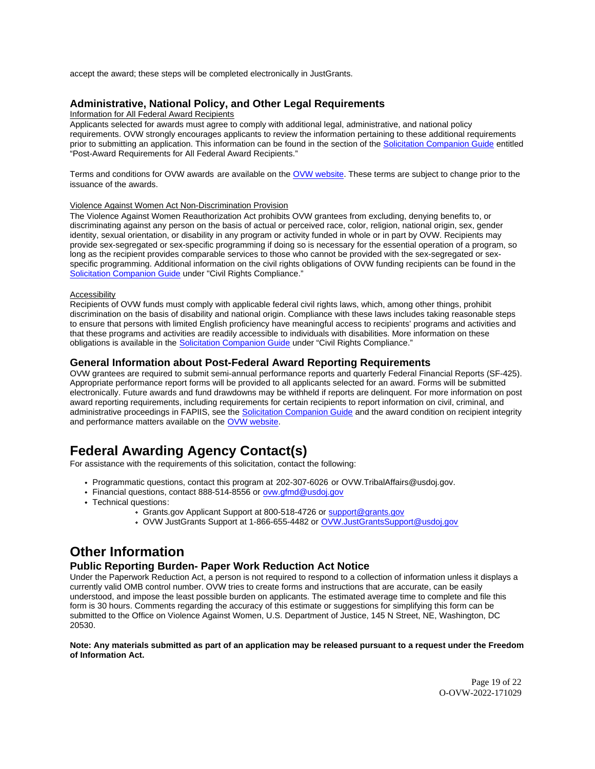<span id="page-18-0"></span>accept the award; these steps will be completed electronically in JustGrants.

## **Administrative, National Policy, and Other Legal Requirements**

Information for All Federal Award Recipients

Applicants selected for awards must agree to comply with additional legal, administrative, and national policy requirements. OVW strongly encourages applicants to review the information pertaining to these additional requirements prior to submitting an application. This information can be found in the section of the [Solicitation Companion Guide](https://www.justice.gov/ovw/resources-applicants) entitled "Post-Award Requirements for All Federal Award Recipients."

Terms and conditions for OVW awards are available on the [OVW website.](https://www.justice.gov/ovw/award-conditions) These terms are subject to change prior to the issuance of the awards.

### Violence Against Women Act Non-Discrimination Provision

The Violence Against Women Reauthorization Act prohibits OVW grantees from excluding, denying benefits to, or discriminating against any person on the basis of actual or perceived race, color, religion, national origin, sex, gender identity, sexual orientation, or disability in any program or activity funded in whole or in part by OVW. Recipients may provide sex-segregated or sex-specific programming if doing so is necessary for the essential operation of a program, so long as the recipient provides comparable services to those who cannot be provided with the sex-segregated or sexspecific programming. Additional information on the civil rights obligations of OVW funding recipients can be found in the [Solicitation Companion Guide](https://www.justice.gov/ovw/resources-applicants) under "Civil Rights Compliance."

#### Accessibility

Recipients of OVW funds must comply with applicable federal civil rights laws, which, among other things, prohibit discrimination on the basis of disability and national origin. Compliance with these laws includes taking reasonable steps to ensure that persons with limited English proficiency have meaningful access to recipients' programs and activities and that these programs and activities are readily accessible to individuals with disabilities. More information on these obligations is available in the [Solicitation Companion Guide](https://www.justice.gov/ovw/resources-applicants) under "Civil Rights Compliance."

#### **General Information about Post-Federal Award Reporting Requirements**

OVW grantees are required to submit semi-annual performance reports and quarterly Federal Financial Reports (SF-425). Appropriate performance report forms will be provided to all applicants selected for an award. Forms will be submitted electronically. Future awards and fund drawdowns may be withheld if reports are delinquent. For more information on post award reporting requirements, including requirements for certain recipients to report information on civil, criminal, and administrative proceedings in FAPIIS, see the [Solicitation Companion Guide](https://www.justice.gov/ovw/resources-applicants) and the award condition on recipient integrity and performance matters available on the [OVW website.](https://www.justice.gov/ovw/award-conditions)

## **Federal Awarding Agency Contact(s)**

For assistance with the requirements of this solicitation, contact the following:

- Programmatic questions, contact this program at 202-307-6026 or [OVW.TribalAffairs@usdoj.gov](mailto:OVW.TribalAffairs@usdoj.gov).
- Financial questions, contact 888-514-8556 or ovw.gfmd@usdoj.gov
- Technical questions:
	- [Grants.gov](https://Grants.gov) Applicant Support at 800-518-4726 or [support@grants.gov](mailto:support@grants.gov)
	- OVW JustGrants Support at 1-866-655-4482 or [OVW.JustGrantsSupport@usdoj.gov](mailto:OVW.JustGrantsSupport@usdoj.gov)

## **Other Information**

### **Public Reporting Burden- Paper Work Reduction Act Notice**

Under the Paperwork Reduction Act, a person is not required to respond to a collection of information unless it displays a currently valid OMB control number. OVW tries to create forms and instructions that are accurate, can be easily understood, and impose the least possible burden on applicants. The estimated average time to complete and file this form is 30 hours. Comments regarding the accuracy of this estimate or suggestions for simplifying this form can be submitted to the Office on Violence Against Women, U.S. Department of Justice, 145 N Street, NE, Washington, DC 20530.

#### **Note: Any materials submitted as part of an application may be released pursuant to a request under the Freedom of Information Act.**

Page 19 of 22 O-OVW-2022-171029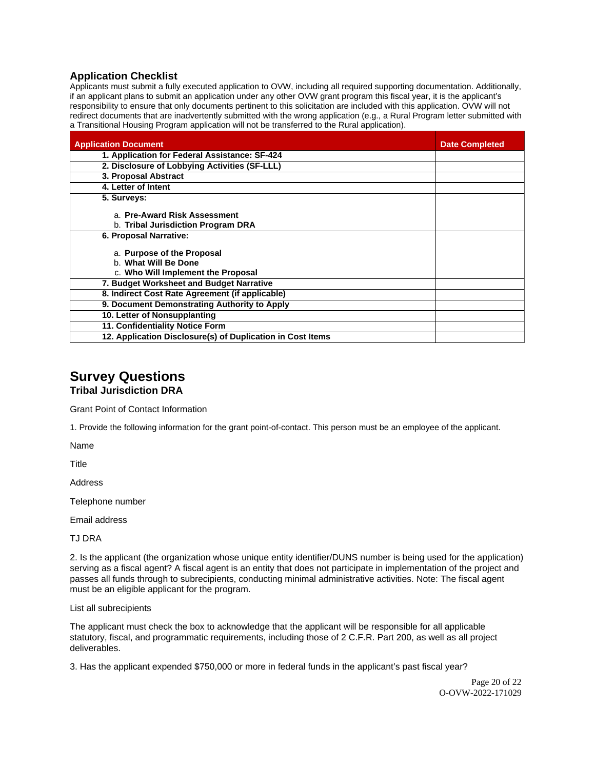## <span id="page-19-0"></span>**Application Checklist**

Applicants must submit a fully executed application to OVW, including all required supporting documentation. Additionally, if an applicant plans to submit an application under any other OVW grant program this fiscal year, it is the applicant's responsibility to ensure that only documents pertinent to this solicitation are included with this application. OVW will not redirect documents that are inadvertently submitted with the wrong application (e.g., a Rural Program letter submitted with a Transitional Housing Program application will not be transferred to the Rural application).

| <b>Application Document</b>                                                              | <b>Date Completed</b> |
|------------------------------------------------------------------------------------------|-----------------------|
| 1. Application for Federal Assistance: SF-424                                            |                       |
| 2. Disclosure of Lobbying Activities (SF-LLL)                                            |                       |
| 3. Proposal Abstract                                                                     |                       |
| 4. Letter of Intent                                                                      |                       |
| 5. Surveys:                                                                              |                       |
| a. Pre-Award Risk Assessment                                                             |                       |
| b. Tribal Jurisdiction Program DRA                                                       |                       |
| 6. Proposal Narrative:                                                                   |                       |
| a. Purpose of the Proposal<br>b. What Will Be Done<br>c. Who Will Implement the Proposal |                       |
| 7. Budget Worksheet and Budget Narrative                                                 |                       |
| 8. Indirect Cost Rate Agreement (if applicable)                                          |                       |
| 9. Document Demonstrating Authority to Apply                                             |                       |
| 10. Letter of Nonsupplanting                                                             |                       |
| 11. Confidentiality Notice Form                                                          |                       |
| 12. Application Disclosure(s) of Duplication in Cost Items                               |                       |

## **Survey Questions Tribal Jurisdiction DRA**

Grant Point of Contact Information

1. Provide the following information for the grant point-of-contact. This person must be an employee of the applicant.

Name

Title

Address

Telephone number

Email address

TJ DRA

2. Is the applicant (the organization whose unique entity identifier/DUNS number is being used for the application) serving as a fiscal agent? A fiscal agent is an entity that does not participate in implementation of the project and passes all funds through to subrecipients, conducting minimal administrative activities. Note: The fiscal agent must be an eligible applicant for the program.

List all subrecipients

The applicant must check the box to acknowledge that the applicant will be responsible for all applicable statutory, fiscal, and programmatic requirements, including those of 2 C.F.R. Part 200, as well as all project deliverables.

3. Has the applicant expended \$750,000 or more in federal funds in the applicant's past fiscal year?

Page 20 of 22 O-OVW-2022-171029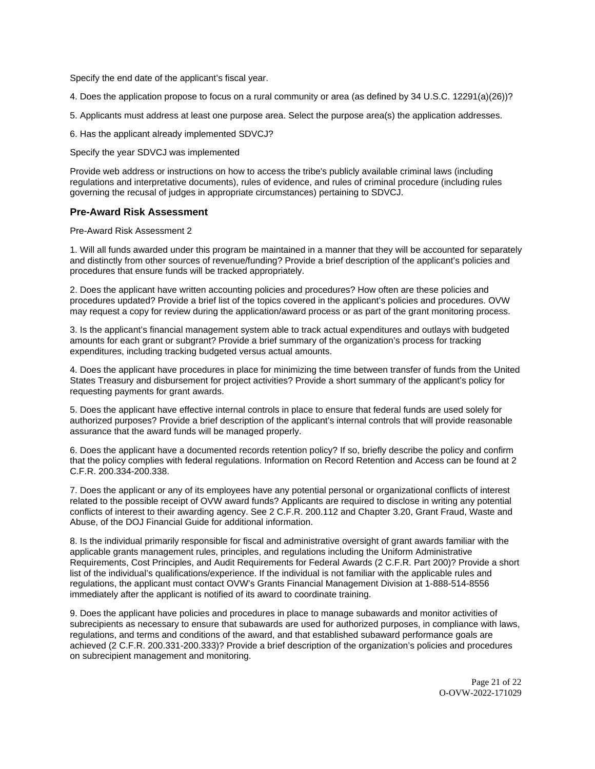Specify the end date of the applicant's fiscal year.

4. Does the application propose to focus on a rural community or area (as defined by 34 U.S.C. 12291(a)(26))?

5. Applicants must address at least one purpose area. Select the purpose area(s) the application addresses.

6. Has the applicant already implemented SDVCJ?

Specify the year SDVCJ was implemented

Provide web address or instructions on how to access the tribe's publicly available criminal laws (including regulations and interpretative documents), rules of evidence, and rules of criminal procedure (including rules governing the recusal of judges in appropriate circumstances) pertaining to SDVCJ.

#### **Pre-Award Risk Assessment**

Pre-Award Risk Assessment 2

1. Will all funds awarded under this program be maintained in a manner that they will be accounted for separately and distinctly from other sources of revenue/funding? Provide a brief description of the applicant's policies and procedures that ensure funds will be tracked appropriately.

2. Does the applicant have written accounting policies and procedures? How often are these policies and procedures updated? Provide a brief list of the topics covered in the applicant's policies and procedures. OVW may request a copy for review during the application/award process or as part of the grant monitoring process.

3. Is the applicant's financial management system able to track actual expenditures and outlays with budgeted amounts for each grant or subgrant? Provide a brief summary of the organization's process for tracking expenditures, including tracking budgeted versus actual amounts.

4. Does the applicant have procedures in place for minimizing the time between transfer of funds from the United States Treasury and disbursement for project activities? Provide a short summary of the applicant's policy for requesting payments for grant awards.

5. Does the applicant have effective internal controls in place to ensure that federal funds are used solely for authorized purposes? Provide a brief description of the applicant's internal controls that will provide reasonable assurance that the award funds will be managed properly.

6. Does the applicant have a documented records retention policy? If so, briefly describe the policy and confirm that the policy complies with federal regulations. Information on Record Retention and Access can be found at 2 C.F.R. 200.334-200.338.

7. Does the applicant or any of its employees have any potential personal or organizational conflicts of interest related to the possible receipt of OVW award funds? Applicants are required to disclose in writing any potential conflicts of interest to their awarding agency. See 2 C.F.R. 200.112 and Chapter 3.20, Grant Fraud, Waste and Abuse, of the DOJ Financial Guide for additional information.

8. Is the individual primarily responsible for fiscal and administrative oversight of grant awards familiar with the applicable grants management rules, principles, and regulations including the Uniform Administrative Requirements, Cost Principles, and Audit Requirements for Federal Awards (2 C.F.R. Part 200)? Provide a short list of the individual's qualifications/experience. If the individual is not familiar with the applicable rules and regulations, the applicant must contact OVW's Grants Financial Management Division at 1-888-514-8556 immediately after the applicant is notified of its award to coordinate training.

9. Does the applicant have policies and procedures in place to manage subawards and monitor activities of subrecipients as necessary to ensure that subawards are used for authorized purposes, in compliance with laws, regulations, and terms and conditions of the award, and that established subaward performance goals are achieved (2 C.F.R. 200.331-200.333)? Provide a brief description of the organization's policies and procedures on subrecipient management and monitoring.

> Page 21 of 22 O-OVW-2022-171029